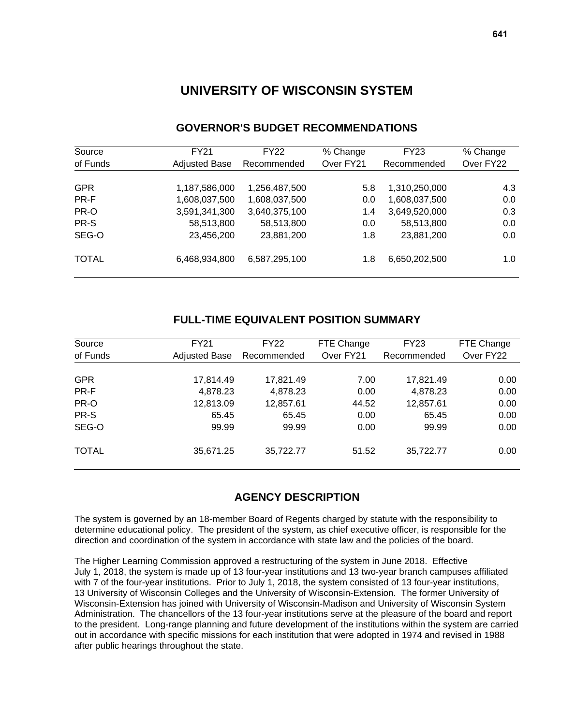# **UNIVERSITY OF WISCONSIN SYSTEM**

| Source       | <b>FY21</b>          | FY22          | % Change  | FY23          | % Change  |
|--------------|----------------------|---------------|-----------|---------------|-----------|
| of Funds     | <b>Adjusted Base</b> | Recommended   | Over FY21 | Recommended   | Over FY22 |
|              |                      |               |           |               |           |
| <b>GPR</b>   | 1,187,586,000        | 1,256,487,500 | 5.8       | 1,310,250,000 | 4.3       |
| PR-F         | 1,608,037,500        | 1,608,037,500 | 0.0       | 1,608,037,500 | 0.0       |
| PR-O         | 3,591,341,300        | 3,640,375,100 | 1.4       | 3,649,520,000 | 0.3       |
| PR-S         | 58,513,800           | 58,513,800    | 0.0       | 58,513,800    | 0.0       |
| SEG-O        | 23,456,200           | 23,881,200    | 1.8       | 23,881,200    | 0.0       |
| <b>TOTAL</b> | 6,468,934,800        | 6,587,295,100 | 1.8       | 6,650,202,500 | 1.0       |

# **GOVERNOR'S BUDGET RECOMMENDATIONS**

## **FULL-TIME EQUIVALENT POSITION SUMMARY**

| Source<br>of Funds | <b>FY21</b><br><b>Adjusted Base</b> | <b>FY22</b><br>Recommended | FTE Change<br>Over FY21 | <b>FY23</b><br>Recommended | FTE Change<br>Over FY22 |
|--------------------|-------------------------------------|----------------------------|-------------------------|----------------------------|-------------------------|
|                    |                                     |                            |                         |                            |                         |
| <b>GPR</b>         | 17,814.49                           | 17,821.49                  | 7.00                    | 17,821.49                  | 0.00                    |
| PR-F               | 4,878.23                            | 4,878.23                   | 0.00                    | 4,878.23                   | 0.00                    |
| PR-O               | 12,813.09                           | 12,857.61                  | 44.52                   | 12,857.61                  | 0.00                    |
| PR-S               | 65.45                               | 65.45                      | 0.00                    | 65.45                      | 0.00                    |
| SEG-O              | 99.99                               | 99.99                      | 0.00                    | 99.99                      | 0.00                    |
| <b>TOTAL</b>       | 35,671.25                           | 35,722.77                  | 51.52                   | 35,722.77                  | 0.00                    |

# **AGENCY DESCRIPTION**

The system is governed by an 18-member Board of Regents charged by statute with the responsibility to determine educational policy. The president of the system, as chief executive officer, is responsible for the direction and coordination of the system in accordance with state law and the policies of the board.

The Higher Learning Commission approved a restructuring of the system in June 2018. Effective July 1, 2018, the system is made up of 13 four-year institutions and 13 two-year branch campuses affiliated with 7 of the four-year institutions. Prior to July 1, 2018, the system consisted of 13 four-year institutions, 13 University of Wisconsin Colleges and the University of Wisconsin-Extension. The former University of Wisconsin-Extension has joined with University of Wisconsin-Madison and University of Wisconsin System Administration. The chancellors of the 13 four-year institutions serve at the pleasure of the board and report to the president. Long-range planning and future development of the institutions within the system are carried out in accordance with specific missions for each institution that were adopted in 1974 and revised in 1988 after public hearings throughout the state.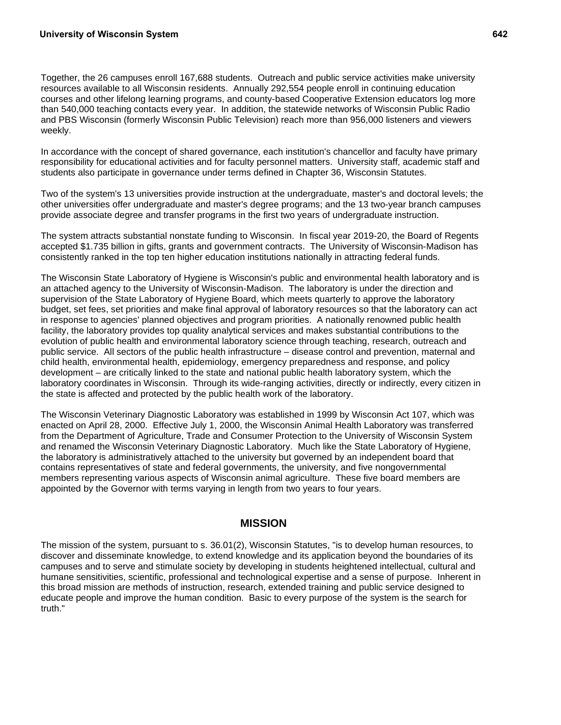Together, the 26 campuses enroll 167,688 students. Outreach and public service activities make university resources available to all Wisconsin residents. Annually 292,554 people enroll in continuing education courses and other lifelong learning programs, and county-based Cooperative Extension educators log more than 540,000 teaching contacts every year. In addition, the statewide networks of Wisconsin Public Radio and PBS Wisconsin (formerly Wisconsin Public Television) reach more than 956,000 listeners and viewers weekly.

In accordance with the concept of shared governance, each institution's chancellor and faculty have primary responsibility for educational activities and for faculty personnel matters. University staff, academic staff and students also participate in governance under terms defined in Chapter 36, Wisconsin Statutes.

Two of the system's 13 universities provide instruction at the undergraduate, master's and doctoral levels; the other universities offer undergraduate and master's degree programs; and the 13 two-year branch campuses provide associate degree and transfer programs in the first two years of undergraduate instruction.

The system attracts substantial nonstate funding to Wisconsin. In fiscal year 2019-20, the Board of Regents accepted \$1.735 billion in gifts, grants and government contracts. The University of Wisconsin-Madison has consistently ranked in the top ten higher education institutions nationally in attracting federal funds.

The Wisconsin State Laboratory of Hygiene is Wisconsin's public and environmental health laboratory and is an attached agency to the University of Wisconsin-Madison. The laboratory is under the direction and supervision of the State Laboratory of Hygiene Board, which meets quarterly to approve the laboratory budget, set fees, set priorities and make final approval of laboratory resources so that the laboratory can act in response to agencies' planned objectives and program priorities. A nationally renowned public health facility, the laboratory provides top quality analytical services and makes substantial contributions to the evolution of public health and environmental laboratory science through teaching, research, outreach and public service. All sectors of the public health infrastructure – disease control and prevention, maternal and child health, environmental health, epidemiology, emergency preparedness and response, and policy development – are critically linked to the state and national public health laboratory system, which the laboratory coordinates in Wisconsin. Through its wide-ranging activities, directly or indirectly, every citizen in the state is affected and protected by the public health work of the laboratory.

The Wisconsin Veterinary Diagnostic Laboratory was established in 1999 by Wisconsin Act 107, which was enacted on April 28, 2000. Effective July 1, 2000, the Wisconsin Animal Health Laboratory was transferred from the Department of Agriculture, Trade and Consumer Protection to the University of Wisconsin System and renamed the Wisconsin Veterinary Diagnostic Laboratory. Much like the State Laboratory of Hygiene, the laboratory is administratively attached to the university but governed by an independent board that contains representatives of state and federal governments, the university, and five nongovernmental members representing various aspects of Wisconsin animal agriculture. These five board members are appointed by the Governor with terms varying in length from two years to four years.

## **MISSION**

The mission of the system, pursuant to s. 36.01(2), Wisconsin Statutes, "is to develop human resources, to discover and disseminate knowledge, to extend knowledge and its application beyond the boundaries of its campuses and to serve and stimulate society by developing in students heightened intellectual, cultural and humane sensitivities, scientific, professional and technological expertise and a sense of purpose. Inherent in this broad mission are methods of instruction, research, extended training and public service designed to educate people and improve the human condition. Basic to every purpose of the system is the search for truth."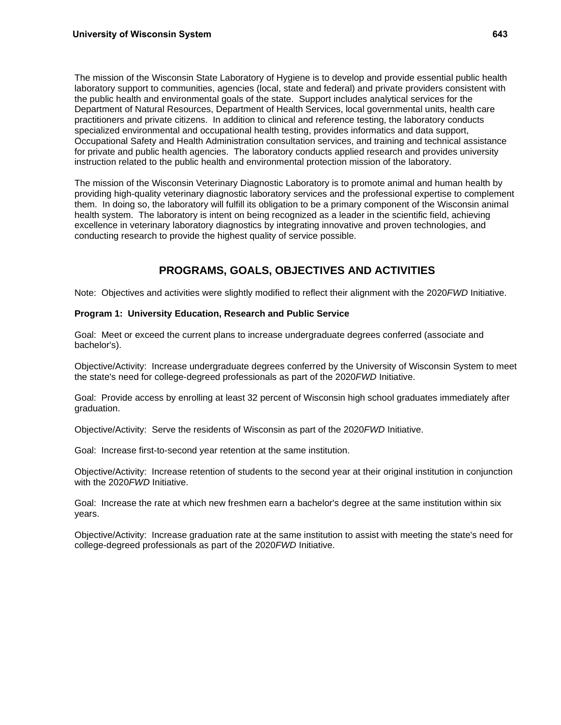The mission of the Wisconsin State Laboratory of Hygiene is to develop and provide essential public health laboratory support to communities, agencies (local, state and federal) and private providers consistent with the public health and environmental goals of the state. Support includes analytical services for the Department of Natural Resources, Department of Health Services, local governmental units, health care practitioners and private citizens. In addition to clinical and reference testing, the laboratory conducts specialized environmental and occupational health testing, provides informatics and data support, Occupational Safety and Health Administration consultation services, and training and technical assistance for private and public health agencies. The laboratory conducts applied research and provides university instruction related to the public health and environmental protection mission of the laboratory.

The mission of the Wisconsin Veterinary Diagnostic Laboratory is to promote animal and human health by providing high-quality veterinary diagnostic laboratory services and the professional expertise to complement them. In doing so, the laboratory will fulfill its obligation to be a primary component of the Wisconsin animal health system. The laboratory is intent on being recognized as a leader in the scientific field, achieving excellence in veterinary laboratory diagnostics by integrating innovative and proven technologies, and conducting research to provide the highest quality of service possible.

# **PROGRAMS, GOALS, OBJECTIVES AND ACTIVITIES**

Note:Objectives and activities were slightly modified to reflect their alignment with the 2020*FWD* Initiative.

## **Program 1: University Education, Research and Public Service**

Goal: Meet or exceed the current plans to increase undergraduate degrees conferred (associate and bachelor's).

Objective/Activity: Increase undergraduate degrees conferred by the University of Wisconsin System to meet the state's need for college-degreed professionals as part of the 2020*FWD* Initiative.

Goal: Provide access by enrolling at least 32 percent of Wisconsin high school graduates immediately after graduation.

Objective/Activity: Serve the residents of Wisconsin as part of the 2020*FWD* Initiative.

Goal: Increase first-to-second year retention at the same institution.

Objective/Activity: Increase retention of students to the second year at their original institution in conjunction with the 2020*FWD* Initiative.

Goal: Increase the rate at which new freshmen earn a bachelor's degree at the same institution within six years.

Objective/Activity: Increase graduation rate at the same institution to assist with meeting the state's need for college-degreed professionals as part of the 2020*FWD* Initiative.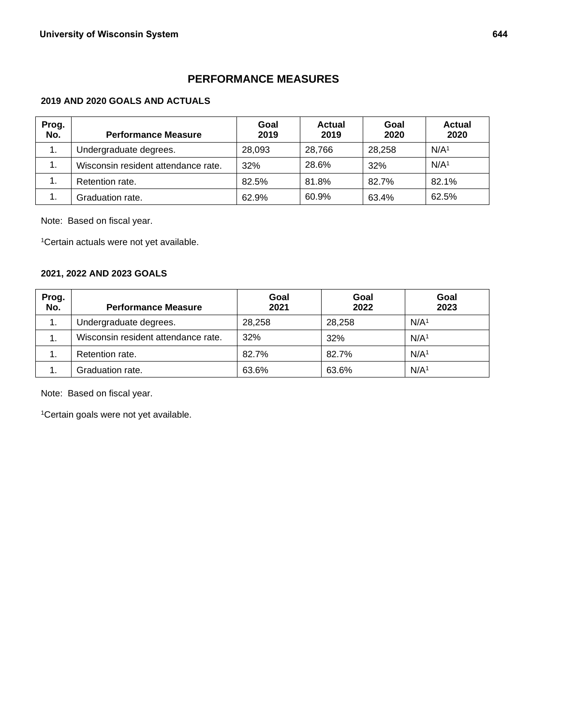# **PERFORMANCE MEASURES**

## **2019 AND 2020 GOALS AND ACTUALS**

| Prog.<br>No. | <b>Performance Measure</b>          | Goal<br>2019 | <b>Actual</b><br>2019 | Goal<br>2020 | <b>Actual</b><br>2020 |
|--------------|-------------------------------------|--------------|-----------------------|--------------|-----------------------|
| 1.           | Undergraduate degrees.              | 28,093       | 28.766                | 28.258       | N/A <sup>1</sup>      |
| 1.           | Wisconsin resident attendance rate. | 32%          | 28.6%                 | 32%          | N/A <sup>1</sup>      |
| 1.           | Retention rate.                     | 82.5%        | 81.8%                 | 82.7%        | 82.1%                 |
|              | Graduation rate.                    | 62.9%        | 60.9%                 | 63.4%        | 62.5%                 |

Note: Based on fiscal year.

1Certain actuals were not yet available.

## **2021, 2022 AND 2023 GOALS**

| Prog.<br>No. | <b>Performance Measure</b>          | Goal<br>2021 | Goal<br>2022 | Goal<br>2023     |
|--------------|-------------------------------------|--------------|--------------|------------------|
| 1.           | Undergraduate degrees.              | 28,258       | 28,258       | N/A <sup>1</sup> |
| 1.           | Wisconsin resident attendance rate. | 32%          | 32%          | N/A <sup>1</sup> |
| 1.           | Retention rate.                     | 82.7%        | 82.7%        | N/A <sup>1</sup> |
| 1.           | Graduation rate.                    | 63.6%        | 63.6%        | N/A <sup>1</sup> |

Note: Based on fiscal year.

1Certain goals were not yet available.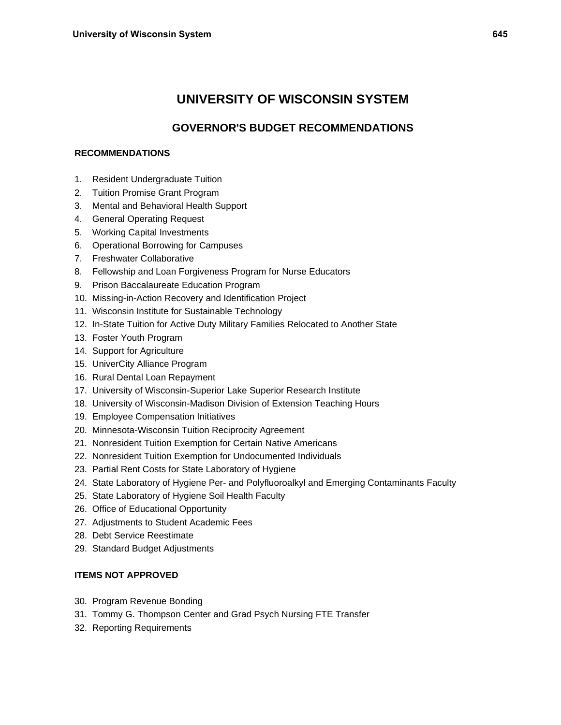# **UNIVERSITY OF WISCONSIN SYSTEM**

# **GOVERNOR'S BUDGET RECOMMENDATIONS**

## **RECOMMENDATIONS**

- 1. Resident Undergraduate Tuition
- 2. Tuition Promise Grant Program
- 3. Mental and Behavioral Health Support
- 4. General Operating Request
- 5. Working Capital Investments
- 6. Operational Borrowing for Campuses
- 7. Freshwater Collaborative
- 8. Fellowship and Loan Forgiveness Program for Nurse Educators
- 9. Prison Baccalaureate Education Program
- 10. Missing-in-Action Recovery and Identification Project
- 11. Wisconsin Institute for Sustainable Technology
- 12. In-State Tuition for Active Duty Military Families Relocated to Another State
- 13. Foster Youth Program
- 14. Support for Agriculture
- 15. UniverCity Alliance Program
- 16. Rural Dental Loan Repayment
- 17. University of Wisconsin-Superior Lake Superior Research Institute
- 18. University of Wisconsin-Madison Division of Extension Teaching Hours
- 19. Employee Compensation Initiatives
- 20. Minnesota-Wisconsin Tuition Reciprocity Agreement
- 21. Nonresident Tuition Exemption for Certain Native Americans
- 22. Nonresident Tuition Exemption for Undocumented Individuals
- 23. Partial Rent Costs for State Laboratory of Hygiene
- 24. State Laboratory of Hygiene Per- and Polyfluoroalkyl and Emerging Contaminants Faculty
- 25. State Laboratory of Hygiene Soil Health Faculty
- 26. Office of Educational Opportunity
- 27. Adjustments to Student Academic Fees
- 28. Debt Service Reestimate
- 29. Standard Budget Adjustments

## **ITEMS NOT APPROVED**

- 30. Program Revenue Bonding
- 31. Tommy G. Thompson Center and Grad Psych Nursing FTE Transfer
- 32. Reporting Requirements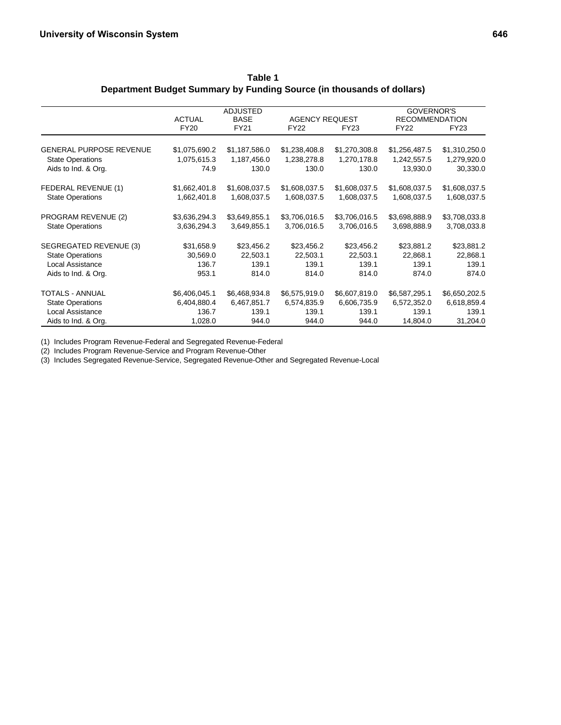|                                |               | <b>ADJUSTED</b> |                       |               | GOVERNOR'S            |               |
|--------------------------------|---------------|-----------------|-----------------------|---------------|-----------------------|---------------|
|                                | <b>ACTUAL</b> | <b>BASE</b>     | <b>AGENCY REQUEST</b> |               | <b>RECOMMENDATION</b> |               |
|                                | <b>FY20</b>   | FY21            | <b>FY22</b>           | <b>FY23</b>   | <b>FY22</b>           | FY23          |
| <b>GENERAL PURPOSE REVENUE</b> | \$1,075,690.2 | \$1,187,586.0   | \$1,238,408.8         | \$1,270,308.8 | \$1,256,487.5         | \$1,310,250.0 |
| <b>State Operations</b>        | 1,075,615.3   | 1,187,456.0     | 1,238,278.8           | 1,270,178.8   | 1,242,557.5           | 1,279,920.0   |
| Aids to Ind. & Org.            | 74.9          | 130.0           | 130.0                 | 130.0         | 13,930.0              | 30,330.0      |
| FEDERAL REVENUE (1)            | \$1,662,401.8 | \$1,608,037.5   | \$1,608,037.5         | \$1,608,037.5 | \$1,608,037.5         | \$1,608,037.5 |
| <b>State Operations</b>        | 1,662,401.8   | 1,608,037.5     | 1,608,037.5           | 1,608,037.5   | 1,608,037.5           | 1,608,037.5   |
| PROGRAM REVENUE (2)            | \$3,636,294.3 | \$3,649,855.1   | \$3,706,016.5         | \$3,706,016.5 | \$3,698,888.9         | \$3,708,033.8 |
| <b>State Operations</b>        | 3,636,294.3   | 3,649,855.1     | 3,706,016.5           | 3,706,016.5   | 3,698,888.9           | 3,708,033.8   |
| SEGREGATED REVENUE (3)         | \$31,658.9    | \$23,456.2      | \$23,456.2            | \$23,456.2    | \$23,881.2            | \$23,881.2    |
| <b>State Operations</b>        | 30,569.0      | 22,503.1        | 22,503.1              | 22,503.1      | 22,868.1              | 22,868.1      |
| Local Assistance               | 136.7         | 139.1           | 139.1                 | 139.1         | 139.1                 | 139.1         |
| Aids to Ind. & Org.            | 953.1         | 814.0           | 814.0                 | 814.0         | 874.0                 | 874.0         |
| <b>TOTALS - ANNUAL</b>         | \$6,406,045.1 | \$6,468,934.8   | \$6,575,919.0         | \$6,607,819.0 | \$6,587,295.1         | \$6,650,202.5 |
| <b>State Operations</b>        | 6,404,880.4   | 6,467,851.7     | 6,574,835.9           | 6,606,735.9   | 6,572,352.0           | 6,618,859.4   |
| Local Assistance               | 136.7         | 139.1           | 139.1                 | 139.1         | 139.1                 | 139.1         |
| Aids to Ind. & Org.            | 1,028.0       | 944.0           | 944.0                 | 944.0         | 14,804.0              | 31,204.0      |

**Table 1 Department Budget Summary by Funding Source (in thousands of dollars)**

(1) Includes Program Revenue-Federal and Segregated Revenue-Federal

(2) Includes Program Revenue-Service and Program Revenue-Other

(3) Includes Segregated Revenue-Service, Segregated Revenue-Other and Segregated Revenue-Local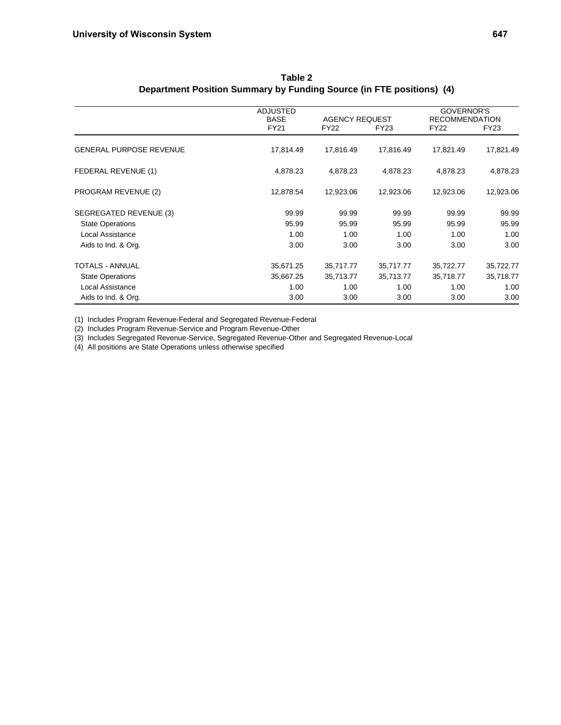|                                | ADJUSTED<br><b>BASE</b> | <b>AGENCY REQUEST</b> |           | GOVERNOR'S<br><b>RECOMMENDATION</b> |           |
|--------------------------------|-------------------------|-----------------------|-----------|-------------------------------------|-----------|
|                                | FY21                    | FY22                  | FY23      | <b>FY22</b>                         | FY23      |
| <b>GENERAL PURPOSE REVENUE</b> | 17,814.49               | 17,816.49             | 17,816.49 | 17,821.49                           | 17,821.49 |
| FEDERAL REVENUE (1)            | 4,878.23                | 4,878.23              | 4,878.23  | 4,878.23                            | 4,878.23  |
| <b>PROGRAM REVENUE (2)</b>     | 12,878.54               | 12,923.06             | 12,923.06 | 12,923.06                           | 12,923.06 |
| SEGREGATED REVENUE (3)         | 99.99                   | 99.99                 | 99.99     | 99.99                               | 99.99     |
| <b>State Operations</b>        | 95.99                   | 95.99                 | 95.99     | 95.99                               | 95.99     |
| Local Assistance               | 1.00                    | 1.00                  | 1.00      | 1.00                                | 1.00      |
| Aids to Ind. & Org.            | 3.00                    | 3.00                  | 3.00      | 3.00                                | 3.00      |
| TOTALS - ANNUAL                | 35,671.25               | 35,717.77             | 35,717.77 | 35,722.77                           | 35,722.77 |
| <b>State Operations</b>        | 35,667.25               | 35,713.77             | 35,713.77 | 35,718.77                           | 35,718.77 |
| Local Assistance               | 1.00                    | 1.00                  | 1.00      | 1.00                                | 1.00      |
| Aids to Ind. & Org.            | 3.00                    | 3.00                  | 3.00      | 3.00                                | 3.00      |

**Table 2 Department Position Summary by Funding Source (in FTE positions) (4)**

(1) Includes Program Revenue-Federal and Segregated Revenue-Federal

(2) Includes Program Revenue-Service and Program Revenue-Other

(3) Includes Segregated Revenue-Service, Segregated Revenue-Other and Segregated Revenue-Local

(4) All positions are State Operations unless otherwise specified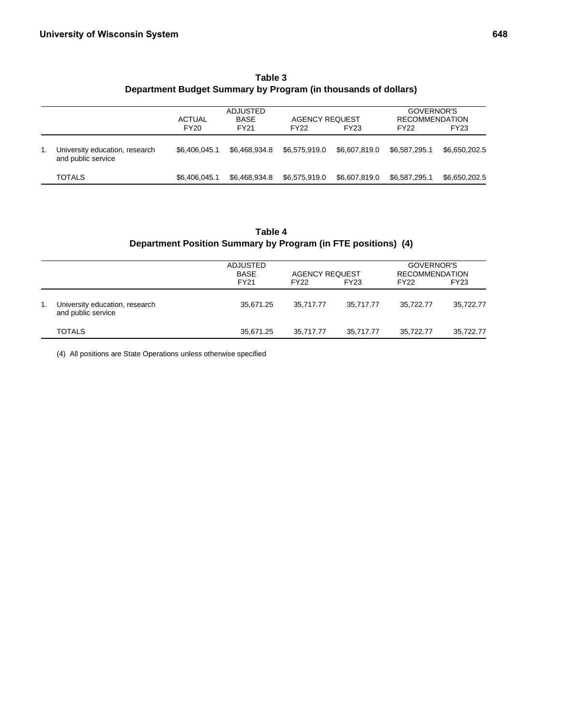|                                                      | <b>ACTUAL</b> | ADJUSTED<br><b>BASE</b> | <b>AGENCY REQUEST</b> |               | GOVERNOR'S<br><b>RECOMMENDATION</b> |               |
|------------------------------------------------------|---------------|-------------------------|-----------------------|---------------|-------------------------------------|---------------|
|                                                      | <b>FY20</b>   | <b>FY21</b>             | FY <sub>22</sub>      | FY23          | FY <sub>22</sub>                    | FY23          |
| University education, research<br>and public service | \$6.406.045.1 | \$6,468,934.8           | \$6.575.919.0         | \$6.607.819.0 | \$6.587.295.1                       | \$6.650.202.5 |
| <b>TOTALS</b>                                        | \$6,406,045.1 | \$6,468,934.8           | \$6,575,919.0         | \$6,607,819.0 | \$6,587,295.1                       | \$6,650,202.5 |

**Table 3 Department Budget Summary by Program (in thousands of dollars)**

## **Table 4 Department Position Summary by Program (in FTE positions) (4)**

|    |                                                      | ADJUSTED<br><b>BASE</b><br><b>FY21</b> | <b>AGENCY REQUEST</b><br><b>FY22</b> | <b>FY23</b> | GOVERNOR'S<br><b>RECOMMENDATION</b><br><b>FY22</b> | <b>FY23</b> |
|----|------------------------------------------------------|----------------------------------------|--------------------------------------|-------------|----------------------------------------------------|-------------|
| 1. | University education, research<br>and public service | 35.671.25                              | 35.717.77                            | 35.717.77   | 35.722.77                                          | 35,722.77   |
|    | <b>TOTALS</b>                                        | 35,671.25                              | 35.717.77                            | 35.717.77   | 35.722.77                                          | 35,722.77   |

(4) All positions are State Operations unless otherwise specified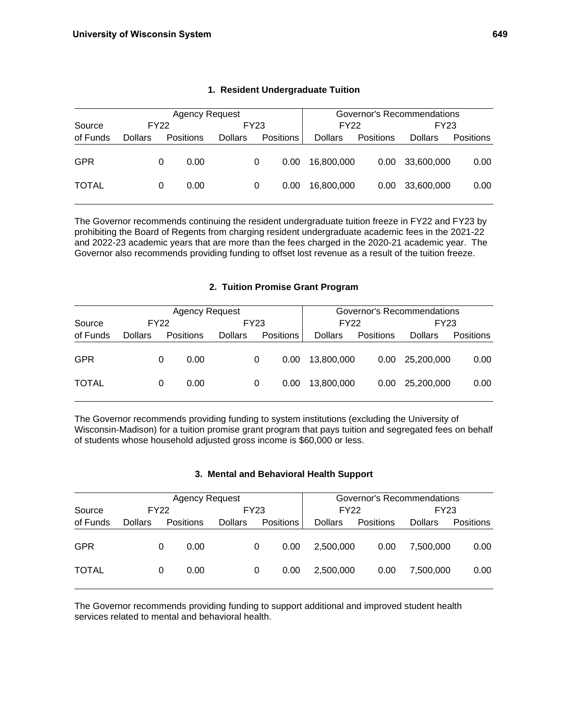|              |                |   | <b>Agency Request</b> |                | Governor's Recommendations |                  |                |                   |                |           |
|--------------|----------------|---|-----------------------|----------------|----------------------------|------------------|----------------|-------------------|----------------|-----------|
| Source       | FY22           |   |                       |                | FY23                       |                  | <b>FY22</b>    |                   | FY23           |           |
| of Funds     | <b>Dollars</b> |   | <b>Positions</b>      | <b>Dollars</b> |                            | <b>Positions</b> | <b>Dollars</b> | Positions         | <b>Dollars</b> | Positions |
| <b>GPR</b>   |                | 0 | 0.00                  |                | 0                          | 0.00             | 16.800.000     | 0.00 <sub>1</sub> | 33,600,000     | 0.00      |
| <b>TOTAL</b> |                | 0 | 0.00                  |                | 0                          | 0.00             | 16.800.000     | 0.00 <sub>1</sub> | 33,600,000     | 0.00      |

## **1. Resident Undergraduate Tuition**

The Governor recommends continuing the resident undergraduate tuition freeze in FY22 and FY23 by prohibiting the Board of Regents from charging resident undergraduate academic fees in the 2021-22 and 2022-23 academic years that are more than the fees charged in the 2020-21 academic year. The Governor also recommends providing funding to offset lost revenue as a result of the tuition freeze.

## **2. Tuition Promise Grant Program**

|              | <b>Agency Request</b> |   |                  |                |      |                  |                | Governor's Recommendations |                |                  |  |  |
|--------------|-----------------------|---|------------------|----------------|------|------------------|----------------|----------------------------|----------------|------------------|--|--|
| Source       | <b>FY22</b>           |   |                  |                | FY23 |                  | FY22           |                            | FY23           |                  |  |  |
| of Funds     | <b>Dollars</b>        |   | <b>Positions</b> | <b>Dollars</b> |      | <b>Positions</b> | <b>Dollars</b> | Positions                  | <b>Dollars</b> | <b>Positions</b> |  |  |
| <b>GPR</b>   |                       | 0 | 0.00             |                | 0    | 0.00             | 13.800.000     | 0.00 <sub>1</sub>          | 25,200,000     | 0.00             |  |  |
| <b>TOTAL</b> |                       | 0 | 0.00             |                | 0    | 0.00             | 13.800.000     | 0.00                       | 25,200,000     | 0.00             |  |  |

The Governor recommends providing funding to system institutions (excluding the University of Wisconsin-Madison) for a tuition promise grant program that pays tuition and segregated fees on behalf of students whose household adjusted gross income is \$60,000 or less.

#### **3. Mental and Behavioral Health Support**

|              |                |   | <b>Agency Request</b> |                | Governor's Recommendations |                  |                |           |                |                  |
|--------------|----------------|---|-----------------------|----------------|----------------------------|------------------|----------------|-----------|----------------|------------------|
| Source       | FY22           |   |                       |                | FY23                       |                  | FY22           |           | FY23           |                  |
| of Funds     | <b>Dollars</b> |   | Positions             | <b>Dollars</b> |                            | <b>Positions</b> | <b>Dollars</b> | Positions | <b>Dollars</b> | <b>Positions</b> |
| <b>GPR</b>   |                | 0 | 0.00                  |                | 0                          | 0.00             | 2,500,000      | 0.00      | 7.500.000      | 0.00             |
| <b>TOTAL</b> |                | 0 | 0.00                  |                | 0                          | 0.00             | 2.500.000      | 0.00      | 7.500.000      | 0.00             |

The Governor recommends providing funding to support additional and improved student health services related to mental and behavioral health.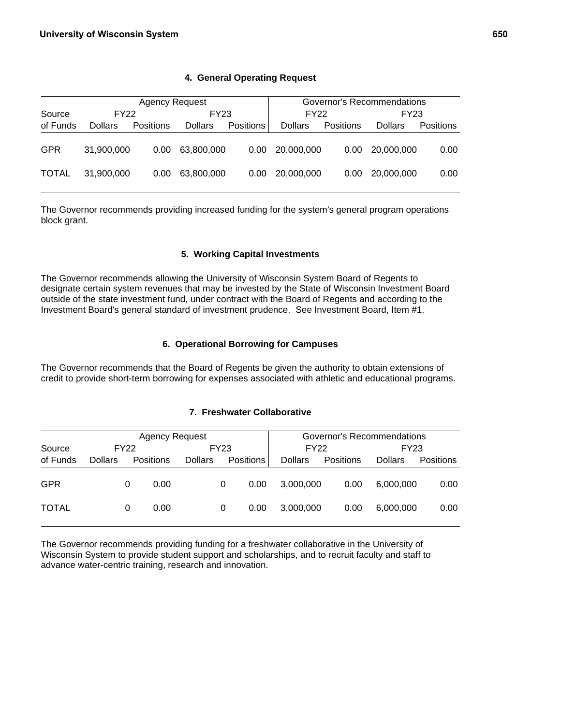|              |                | <b>Agency Request</b> |                | Governor's Recommendations |                |           |                |                  |
|--------------|----------------|-----------------------|----------------|----------------------------|----------------|-----------|----------------|------------------|
| Source       | FY22           |                       | FY23           |                            | <b>FY22</b>    |           | FY23           |                  |
| of Funds     | <b>Dollars</b> | <b>Positions</b>      | <b>Dollars</b> | <b>Positions</b>           | <b>Dollars</b> | Positions | <b>Dollars</b> | <b>Positions</b> |
| <b>GPR</b>   | 31,900,000     | 0.00                  | 63.800.000     | 0.00                       | 20,000,000     | 0.00      | 20,000,000     | 0.00             |
| <b>TOTAL</b> | 31.900.000     | 0.00                  | 63.800.000     | 0.00                       | 20,000,000     | 0.00      | 20,000,000     | 0.00             |

## **4. General Operating Request**

The Governor recommends providing increased funding for the system's general program operations block grant.

## **5. Working Capital Investments**

The Governor recommends allowing the University of Wisconsin System Board of Regents to designate certain system revenues that may be invested by the State of Wisconsin Investment Board outside of the state investment fund, under contract with the Board of Regents and according to the Investment Board's general standard of investment prudence. See Investment Board, Item #1.

## **6. Operational Borrowing for Campuses**

The Governor recommends that the Board of Regents be given the authority to obtain extensions of credit to provide short-term borrowing for expenses associated with athletic and educational programs.

## **7. Freshwater Collaborative**

|              |                |   | <b>Agency Request</b> |                |             |                  |                | Governor's Recommendations |                |           |
|--------------|----------------|---|-----------------------|----------------|-------------|------------------|----------------|----------------------------|----------------|-----------|
| Source       | FY22           |   |                       |                | <b>FY23</b> |                  | <b>FY22</b>    |                            | FY23           |           |
| of Funds     | <b>Dollars</b> |   | <b>Positions</b>      | <b>Dollars</b> |             | <b>Positions</b> | <b>Dollars</b> | Positions                  | <b>Dollars</b> | Positions |
| <b>GPR</b>   |                | 0 | 0.00                  |                | 0           | 0.00             | 3.000.000      | 0.00                       | 6.000.000      | 0.00      |
| <b>TOTAL</b> |                | 0 | 0.00                  |                | 0           | 0.00             | 3,000,000      | 0.00                       | 6,000,000      | 0.00      |

The Governor recommends providing funding for a freshwater collaborative in the University of Wisconsin System to provide student support and scholarships, and to recruit faculty and staff to advance water-centric training, research and innovation.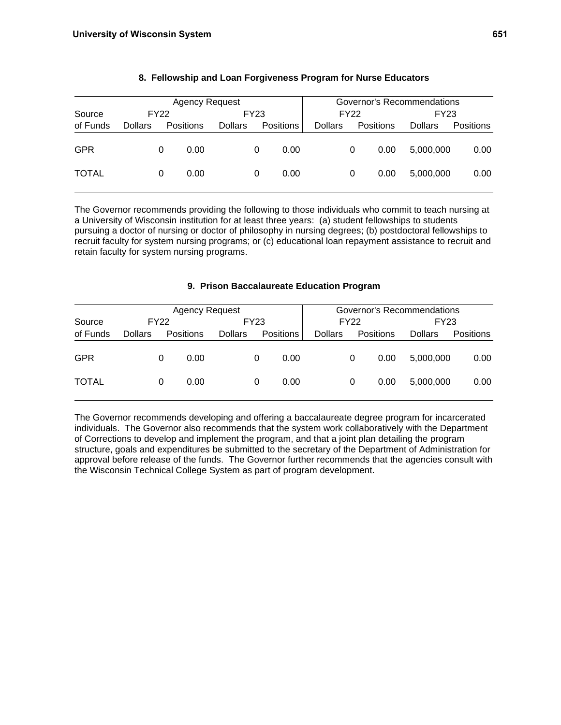|              |                |   | <b>Agency Request</b> |                |   |           |                |      |           | Governor's Recommendations |           |
|--------------|----------------|---|-----------------------|----------------|---|-----------|----------------|------|-----------|----------------------------|-----------|
| Source       | <b>FY22</b>    |   |                       | FY23           |   |           |                | FY22 |           | FY23                       |           |
| of Funds     | <b>Dollars</b> |   | Positions             | <b>Dollars</b> |   | Positions | <b>Dollars</b> |      | Positions | <b>Dollars</b>             | Positions |
| <b>GPR</b>   |                | 0 | 0.00                  |                | 0 | 0.00      |                | 0    | 0.00      | 5,000,000                  | 0.00      |
| <b>TOTAL</b> |                | 0 | 0.00                  |                | 0 | 0.00      |                | 0    | 0.00      | 5,000,000                  | 0.00      |

## **8. Fellowship and Loan Forgiveness Program for Nurse Educators**

The Governor recommends providing the following to those individuals who commit to teach nursing at a University of Wisconsin institution for at least three years: (a) student fellowships to students pursuing a doctor of nursing or doctor of philosophy in nursing degrees; (b) postdoctoral fellowships to recruit faculty for system nursing programs; or (c) educational loan repayment assistance to recruit and retain faculty for system nursing programs.

## **9. Prison Baccalaureate Education Program**

|              |                |   | <b>Agency Request</b> |                |   |                  |                |   |                  | Governor's Recommendations |           |
|--------------|----------------|---|-----------------------|----------------|---|------------------|----------------|---|------------------|----------------------------|-----------|
| Source       | <b>FY22</b>    |   |                       | FY23           |   |                  | <b>FY22</b>    |   |                  | FY23                       |           |
| of Funds     | <b>Dollars</b> |   | <b>Positions</b>      | <b>Dollars</b> |   | <b>Positions</b> | <b>Dollars</b> |   | <b>Positions</b> | <b>Dollars</b>             | Positions |
| <b>GPR</b>   |                | 0 | 0.00                  |                | 0 | 0.00             |                | 0 | 0.00             | 5.000.000                  | 0.00      |
| <b>TOTAL</b> |                | 0 | 0.00                  |                | 0 | 0.00             |                | 0 | 0.00             | 5.000.000                  | 0.00      |

The Governor recommends developing and offering a baccalaureate degree program for incarcerated individuals. The Governor also recommends that the system work collaboratively with the Department of Corrections to develop and implement the program, and that a joint plan detailing the program structure, goals and expenditures be submitted to the secretary of the Department of Administration for approval before release of the funds. The Governor further recommends that the agencies consult with the Wisconsin Technical College System as part of program development.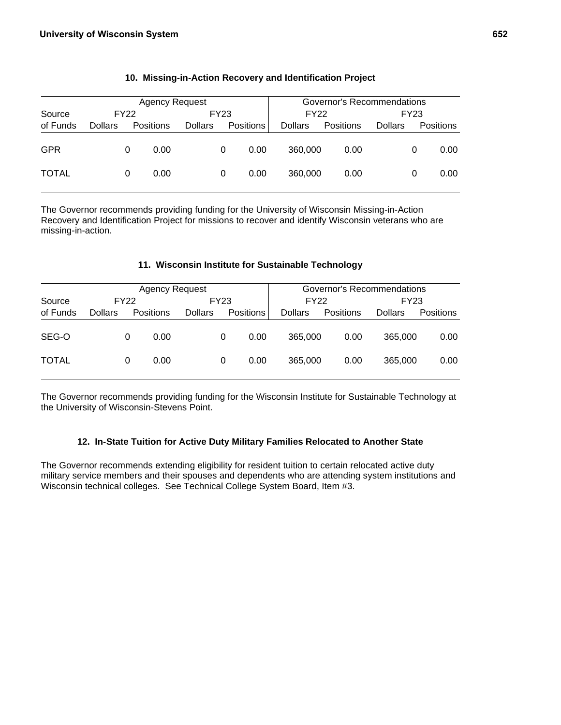|              |                     |   | <b>Agency Request</b> |                |   |                  |                | Governor's Recommendations |                |      |                  |
|--------------|---------------------|---|-----------------------|----------------|---|------------------|----------------|----------------------------|----------------|------|------------------|
| Source       | FY23<br><b>FY22</b> |   |                       |                |   |                  | <b>FY22</b>    |                            |                | FY23 |                  |
| of Funds     | <b>Dollars</b>      |   | Positions             | <b>Dollars</b> |   | <b>Positions</b> | <b>Dollars</b> | <b>Positions</b>           | <b>Dollars</b> |      | <b>Positions</b> |
| <b>GPR</b>   |                     | 0 | 0.00                  |                | 0 | 0.00             | 360,000        | 0.00                       |                | 0    | 0.00             |
| <b>TOTAL</b> |                     | 0 | 0.00                  |                | 0 | 0.00             | 360,000        | 0.00                       |                | 0    | 0.00             |

## **10. Missing-in-Action Recovery and Identification Project**

The Governor recommends providing funding for the University of Wisconsin Missing-in-Action Recovery and Identification Project for missions to recover and identify Wisconsin veterans who are missing-in-action.

## **11. Wisconsin Institute for Sustainable Technology**

|              |                |   | Agency Request   |                |   |                  |                | Governor's Recommendations |                |           |
|--------------|----------------|---|------------------|----------------|---|------------------|----------------|----------------------------|----------------|-----------|
| Source       | <b>FY22</b>    |   |                  | FY23           |   |                  | FY22           |                            | FY23           |           |
| of Funds     | <b>Dollars</b> |   | <b>Positions</b> | <b>Dollars</b> |   | <b>Positions</b> | <b>Dollars</b> | Positions                  | <b>Dollars</b> | Positions |
| SEG-O        |                | O | 0.00             |                | 0 | 0.00             | 365,000        | 0.00                       | 365,000        | 0.00      |
| <b>TOTAL</b> |                | 0 | 0.00             |                | 0 | 0.00             | 365,000        | 0.00                       | 365,000        | 0.00      |

The Governor recommends providing funding for the Wisconsin Institute for Sustainable Technology at the University of Wisconsin-Stevens Point.

#### **12. In-State Tuition for Active Duty Military Families Relocated to Another State**

The Governor recommends extending eligibility for resident tuition to certain relocated active duty military service members and their spouses and dependents who are attending system institutions and Wisconsin technical colleges. See Technical College System Board, Item #3.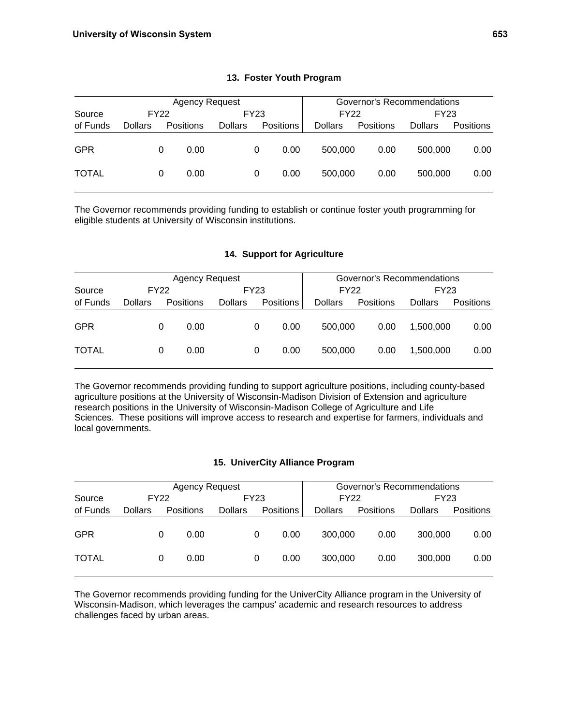|              |                |      | <b>Agency Request</b> |                |      |                  |                | Governor's Recommendations |                |                  |
|--------------|----------------|------|-----------------------|----------------|------|------------------|----------------|----------------------------|----------------|------------------|
| Source       |                | FY22 |                       |                | FY23 |                  | <b>FY22</b>    |                            | FY23           |                  |
| of Funds     | <b>Dollars</b> |      | Positions             | <b>Dollars</b> |      | <b>Positions</b> | <b>Dollars</b> | Positions                  | <b>Dollars</b> | <b>Positions</b> |
| <b>GPR</b>   |                | 0    | 0.00                  |                | 0    | 0.00             | 500.000        | 0.00                       | 500,000        | 0.00             |
| <b>TOTAL</b> |                | 0    | 0.00                  |                | 0    | 0.00             | 500.000        | 0.00                       | 500,000        | 0.00             |

## **13. Foster Youth Program**

The Governor recommends providing funding to establish or continue foster youth programming for eligible students at University of Wisconsin institutions.

## **14. Support for Agriculture**

|              |                |   | Agency Request   |                |   |                  |                | Governor's Recommendations |                |           |
|--------------|----------------|---|------------------|----------------|---|------------------|----------------|----------------------------|----------------|-----------|
| Source       | <b>FY22</b>    |   |                  | FY23           |   |                  |                | FY22                       | FY23           |           |
| of Funds     | <b>Dollars</b> |   | <b>Positions</b> | <b>Dollars</b> |   | <b>Positions</b> | <b>Dollars</b> | <b>Positions</b>           | <b>Dollars</b> | Positions |
| <b>GPR</b>   |                | 0 | 0.00             |                | 0 | 0.00             | 500,000        | 0.00                       | 1.500.000      | 0.00      |
| <b>TOTAL</b> |                | 0 | 0.00             |                | 0 | 0.00             | 500,000        | 0.00                       | 1.500.000      | 0.00      |

The Governor recommends providing funding to support agriculture positions, including county-based agriculture positions at the University of Wisconsin-Madison Division of Extension and agriculture research positions in the University of Wisconsin-Madison College of Agriculture and Life Sciences. These positions will improve access to research and expertise for farmers, individuals and local governments.

#### **15. UniverCity Alliance Program**

|              |                |   | <b>Agency Request</b> |                |   |                  |                | Governor's Recommendations |                |                  |
|--------------|----------------|---|-----------------------|----------------|---|------------------|----------------|----------------------------|----------------|------------------|
| Source       | FY22           |   |                       | FY23           |   |                  | <b>FY22</b>    |                            | FY23           |                  |
| of Funds     | <b>Dollars</b> |   | <b>Positions</b>      | <b>Dollars</b> |   | <b>Positions</b> | <b>Dollars</b> | Positions                  | <b>Dollars</b> | <b>Positions</b> |
| <b>GPR</b>   |                | 0 | 0.00                  |                | 0 | 0.00             | 300,000        | 0.00                       | 300,000        | 0.00             |
| <b>TOTAL</b> |                | 0 | 0.00                  |                | 0 | 0.00             | 300,000        | 0.00                       | 300,000        | 0.00             |

The Governor recommends providing funding for the UniverCity Alliance program in the University of Wisconsin-Madison, which leverages the campus' academic and research resources to address challenges faced by urban areas.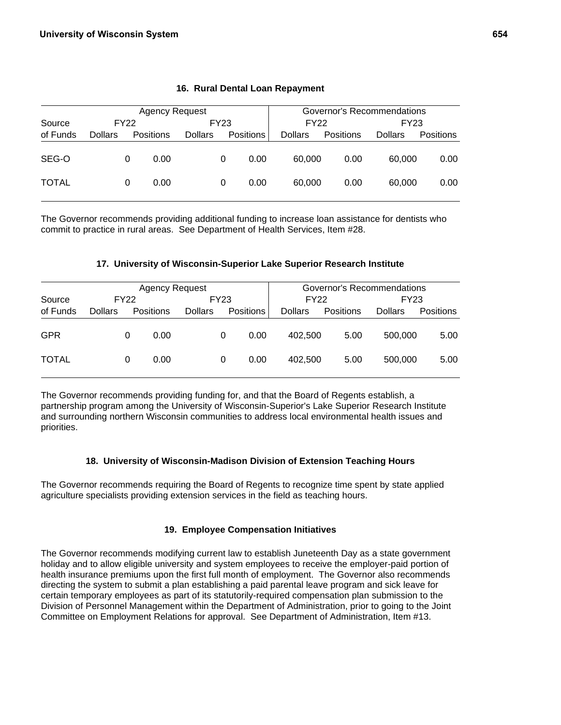|              |                |      | <b>Agency Request</b> |                |      | Governor's Recommendations |                |           |                |           |  |
|--------------|----------------|------|-----------------------|----------------|------|----------------------------|----------------|-----------|----------------|-----------|--|
| Source       |                | FY22 |                       |                | FY23 |                            | FY22<br>FY23   |           |                |           |  |
| of Funds     | <b>Dollars</b> |      | <b>Positions</b>      | <b>Dollars</b> |      | <b>Positions</b>           | <b>Dollars</b> | Positions | <b>Dollars</b> | Positions |  |
| SEG-O        |                | 0    | 0.00                  |                | 0    | 0.00                       | 60,000         | 0.00      | 60,000         | 0.00      |  |
| <b>TOTAL</b> |                | 0    | 0.00                  |                | 0    | 0.00                       | 60,000         | 0.00      | 60,000         | 0.00      |  |

## **16. Rural Dental Loan Repayment**

The Governor recommends providing additional funding to increase loan assistance for dentists who commit to practice in rural areas. See Department of Health Services, Item #28.

#### **17. University of Wisconsin-Superior Lake Superior Research Institute**

|              |                |   | Agency Request   |                |   |                  | Governor's Recommendations |           |                |                  |  |
|--------------|----------------|---|------------------|----------------|---|------------------|----------------------------|-----------|----------------|------------------|--|
| Source       | <b>FY22</b>    |   |                  | FY23           |   |                  |                            | FY22      | FY23           |                  |  |
| of Funds     | <b>Dollars</b> |   | <b>Positions</b> | <b>Dollars</b> |   | <b>Positions</b> | <b>Dollars</b>             | Positions | <b>Dollars</b> | <b>Positions</b> |  |
| <b>GPR</b>   |                | 0 | 0.00             |                | 0 | 0.00             | 402.500                    | 5.00      | 500,000        | 5.00             |  |
| <b>TOTAL</b> |                | 0 | 0.00             |                | 0 | 0.00             | 402.500                    | 5.00      | 500,000        | 5.00             |  |

The Governor recommends providing funding for, and that the Board of Regents establish, a partnership program among the University of Wisconsin-Superior's Lake Superior Research Institute and surrounding northern Wisconsin communities to address local environmental health issues and priorities.

#### **18. University of Wisconsin-Madison Division of Extension Teaching Hours**

The Governor recommends requiring the Board of Regents to recognize time spent by state applied agriculture specialists providing extension services in the field as teaching hours.

#### **19. Employee Compensation Initiatives**

The Governor recommends modifying current law to establish Juneteenth Day as a state government holiday and to allow eligible university and system employees to receive the employer-paid portion of health insurance premiums upon the first full month of employment. The Governor also recommends directing the system to submit a plan establishing a paid parental leave program and sick leave for certain temporary employees as part of its statutorily-required compensation plan submission to the Division of Personnel Management within the Department of Administration, prior to going to the Joint Committee on Employment Relations for approval. See Department of Administration, Item #13.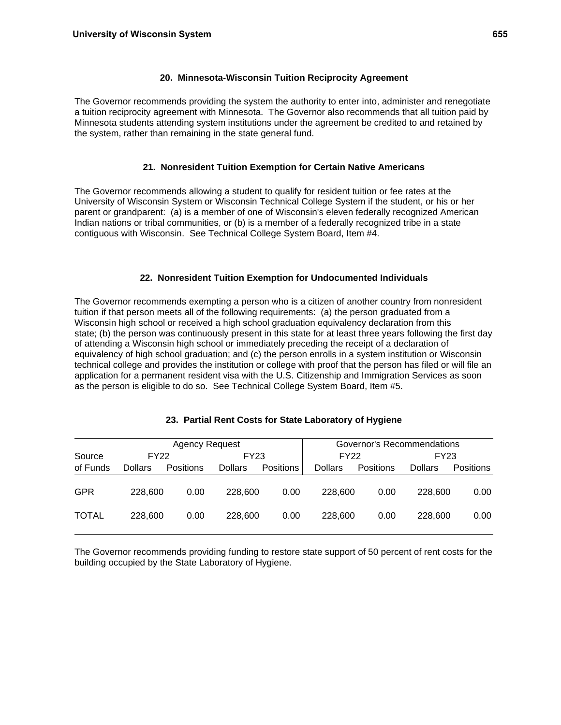## **20. Minnesota-Wisconsin Tuition Reciprocity Agreement**

The Governor recommends providing the system the authority to enter into, administer and renegotiate a tuition reciprocity agreement with Minnesota. The Governor also recommends that all tuition paid by Minnesota students attending system institutions under the agreement be credited to and retained by the system, rather than remaining in the state general fund.

## **21. Nonresident Tuition Exemption for Certain Native Americans**

The Governor recommends allowing a student to qualify for resident tuition or fee rates at the University of Wisconsin System or Wisconsin Technical College System if the student, or his or her parent or grandparent: (a) is a member of one of Wisconsin's eleven federally recognized American Indian nations or tribal communities, or (b) is a member of a federally recognized tribe in a state contiguous with Wisconsin. See Technical College System Board, Item #4.

## **22. Nonresident Tuition Exemption for Undocumented Individuals**

The Governor recommends exempting a person who is a citizen of another country from nonresident tuition if that person meets all of the following requirements: (a) the person graduated from a Wisconsin high school or received a high school graduation equivalency declaration from this state; (b) the person was continuously present in this state for at least three years following the first day of attending a Wisconsin high school or immediately preceding the receipt of a declaration of equivalency of high school graduation; and (c) the person enrolls in a system institution or Wisconsin technical college and provides the institution or college with proof that the person has filed or will file an application for a permanent resident visa with the U.S. Citizenship and Immigration Services as soon as the person is eligible to do so. See Technical College System Board, Item #5.

|              |                | <b>Agency Request</b> |                |           |                | Governor's Recommendations |                |                  |
|--------------|----------------|-----------------------|----------------|-----------|----------------|----------------------------|----------------|------------------|
| Source       | <b>FY22</b>    |                       | FY23           |           |                | FY22                       | FY23           |                  |
| of Funds     | <b>Dollars</b> | <b>Positions</b>      | <b>Dollars</b> | Positions | <b>Dollars</b> | <b>Positions</b>           | <b>Dollars</b> | <b>Positions</b> |
| GPR          | 228,600        | 0.00                  | 228,600        | 0.00      | 228,600        | 0.00                       | 228,600        | 0.00             |
| <b>TOTAL</b> | 228,600        | 0.00                  | 228,600        | 0.00      | 228,600        | 0.00                       | 228,600        | 0.00             |

## **23. Partial Rent Costs for State Laboratory of Hygiene**

The Governor recommends providing funding to restore state support of 50 percent of rent costs for the building occupied by the State Laboratory of Hygiene.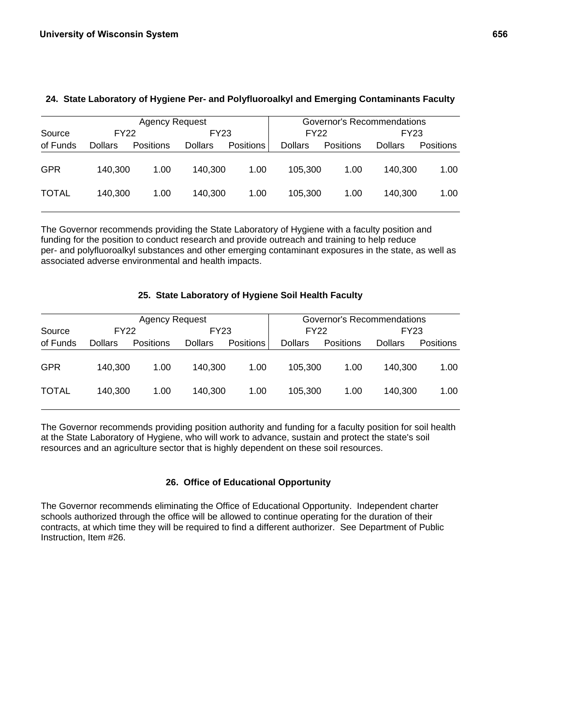|              |                | Agency Request   |                |                  |                | Governor's Recommendations |                |                  |
|--------------|----------------|------------------|----------------|------------------|----------------|----------------------------|----------------|------------------|
| Source       | FY22           |                  | FY23           |                  | <b>FY22</b>    |                            | FY23           |                  |
| of Funds     | <b>Dollars</b> | <b>Positions</b> | <b>Dollars</b> | <b>Positions</b> | <b>Dollars</b> | Positions                  | <b>Dollars</b> | <b>Positions</b> |
| <b>GPR</b>   | 140.300        | 1.00             | 140.300        | 1.00             | 105.300        | 1.00                       | 140.300        | 1.00             |
| <b>TOTAL</b> | 140.300        | 1.00             | 140.300        | 1.00             | 105.300        | 1.00                       | 140.300        | 1.00             |

## **24. State Laboratory of Hygiene Per- and Polyfluoroalkyl and Emerging Contaminants Faculty**

The Governor recommends providing the State Laboratory of Hygiene with a faculty position and funding for the position to conduct research and provide outreach and training to help reduce per- and polyfluoroalkyl substances and other emerging contaminant exposures in the state, as well as associated adverse environmental and health impacts.

## **25. State Laboratory of Hygiene Soil Health Faculty**

|              |                | <b>Agency Request</b> |                |                  | Governor's Recommendations |           |                |           |  |
|--------------|----------------|-----------------------|----------------|------------------|----------------------------|-----------|----------------|-----------|--|
| Source       |                | FY22                  | FY23           |                  | <b>FY22</b>                |           | FY23           |           |  |
| of Funds     | <b>Dollars</b> | <b>Positions</b>      | <b>Dollars</b> | <b>Positions</b> | <b>Dollars</b>             | Positions | <b>Dollars</b> | Positions |  |
| <b>GPR</b>   | 140.300        | 1.00                  | 140.300        | 1.00             | 105.300                    | 1.00      | 140.300        | 1.00      |  |
| <b>TOTAL</b> | 140.300        | 1.00                  | 140.300        | 1.00             | 105.300                    | 1.00      | 140.300        | 1.00      |  |

The Governor recommends providing position authority and funding for a faculty position for soil health at the State Laboratory of Hygiene, who will work to advance, sustain and protect the state's soil resources and an agriculture sector that is highly dependent on these soil resources.

## **26. Office of Educational Opportunity**

The Governor recommends eliminating the Office of Educational Opportunity. Independent charter schools authorized through the office will be allowed to continue operating for the duration of their contracts, at which time they will be required to find a different authorizer. See Department of Public Instruction, Item #26.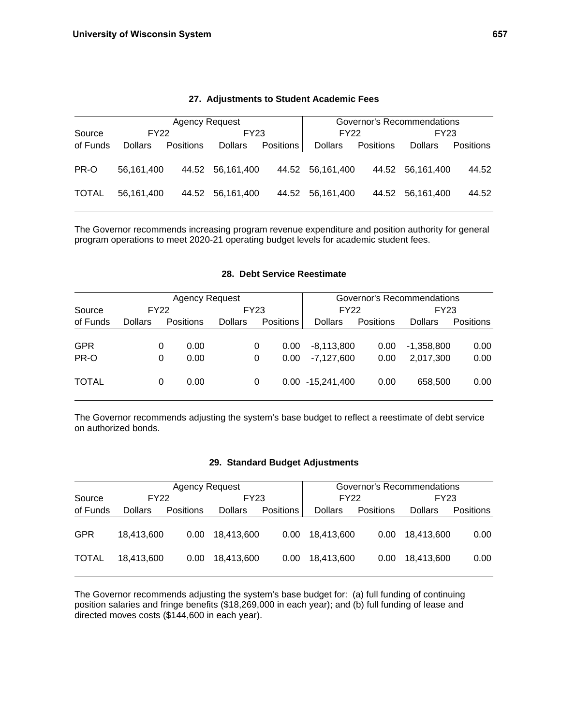|                |                | <b>Agency Request</b> |                  |                  | Governor's Recommendations |                  |                  |                  |  |
|----------------|----------------|-----------------------|------------------|------------------|----------------------------|------------------|------------------|------------------|--|
| FY22<br>Source |                | FY23                  |                  |                  | <b>FY22</b>                |                  | FY23             |                  |  |
| of Funds       | <b>Dollars</b> | <b>Positions</b>      | <b>Dollars</b>   | <b>Positions</b> | <b>Dollars</b>             | <b>Positions</b> | <b>Dollars</b>   | <b>Positions</b> |  |
| PR-O           | 56.161.400     |                       | 44.52 56,161,400 |                  | 44.52 56.161.400           |                  | 44.52 56.161.400 | 44.52            |  |
| <b>TOTAL</b>   | 56.161.400     | 44.52                 | 56,161,400       | 44.52            | 56.161.400                 | 44.52            | 56.161.400       | 44.52            |  |

#### **27. Adjustments to Student Academic Fees**

The Governor recommends increasing program revenue expenditure and position authority for general program operations to meet 2020-21 operating budget levels for academic student fees.

## **28. Debt Service Reestimate**

|              | <b>Agency Request</b> |   |                  |                |             |                  | Governor's Recommendations |                  |                |                  |  |
|--------------|-----------------------|---|------------------|----------------|-------------|------------------|----------------------------|------------------|----------------|------------------|--|
| Source       | <b>FY22</b>           |   | FY23             |                | <b>FY22</b> |                  | FY23                       |                  |                |                  |  |
| of Funds     | <b>Dollars</b>        |   | <b>Positions</b> | <b>Dollars</b> |             | <b>Positions</b> | <b>Dollars</b>             | <b>Positions</b> | <b>Dollars</b> | <b>Positions</b> |  |
|              |                       |   |                  |                |             |                  |                            |                  |                |                  |  |
| <b>GPR</b>   |                       | 0 | 0.00             |                | 0           | 0.00             | $-8.113.800$               | 0.00             | $-1,358,800$   | 0.00             |  |
| PR-O         |                       | 0 | 0.00             |                | 0           | 0.00             | $-7.127.600$               | 0.00             | 2,017,300      | 0.00             |  |
| <b>TOTAL</b> |                       | 0 | 0.00             |                | 0           | $0.00\,$         | $-15,241,400$              | 0.00             | 658,500        | 0.00             |  |

The Governor recommends adjusting the system's base budget to reflect a reestimate of debt service on authorized bonds.

#### **29. Standard Budget Adjustments**

|              |                | <b>Agency Request</b> |                |                  | Governor's Recommendations |                   |            |           |  |
|--------------|----------------|-----------------------|----------------|------------------|----------------------------|-------------------|------------|-----------|--|
| Source       | <b>FY22</b>    |                       | FY23           |                  | <b>FY22</b>                |                   | FY23       |           |  |
| of Funds     | <b>Dollars</b> | <b>Positions</b>      | <b>Dollars</b> | <b>Positions</b> | <b>Dollars</b>             | Positions         | Dollars    | Positions |  |
| <b>GPR</b>   | 18.413.600     | 0.00                  | 18.413.600     | 0.00             | 18.413.600                 | 0.00 <sub>1</sub> | 18.413.600 | 0.00      |  |
| <b>TOTAL</b> | 18.413.600     | 0.00                  | 18,413,600     | 0.00             | 18,413,600                 | 0.00              | 18,413,600 | 0.00      |  |

The Governor recommends adjusting the system's base budget for: (a) full funding of continuing position salaries and fringe benefits (\$18,269,000 in each year); and (b) full funding of lease and directed moves costs (\$144,600 in each year).